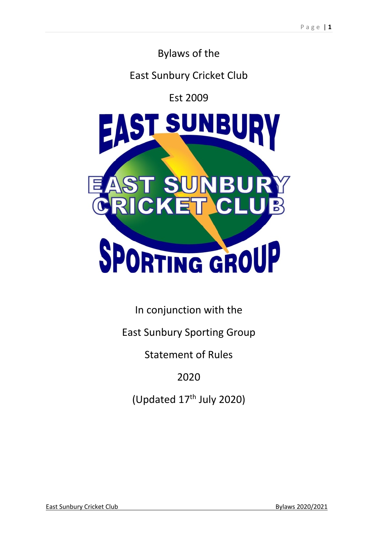# Bylaws of the

# East Sunbury Cricket Club

# Est 2009



In conjunction with the

East Sunbury Sporting Group

Statement of Rules

2020

(Updated 17th July 2020)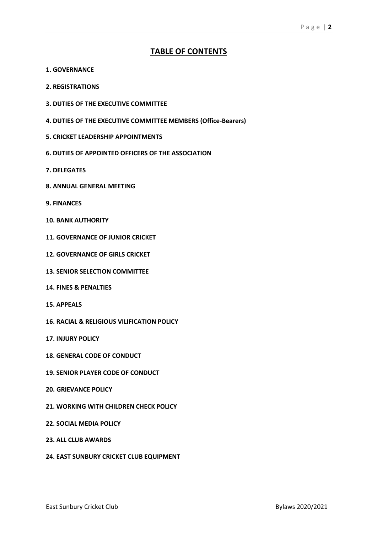# **TABLE OF CONTENTS**

- **1. GOVERNANCE**
- **2. REGISTRATIONS**
- **3. DUTIES OF THE EXECUTIVE COMMITTEE**
- **4. DUTIES OF THE EXECUTIVE COMMITTEE MEMBERS (Office-Bearers)**
- **5. CRICKET LEADERSHIP APPOINTMENTS**
- **6. DUTIES OF APPOINTED OFFICERS OF THE ASSOCIATION**
- **7. DELEGATES**
- **8. ANNUAL GENERAL MEETING**
- **9. FINANCES**
- **10. BANK AUTHORITY**
- **11. GOVERNANCE OF JUNIOR CRICKET**
- **12. GOVERNANCE OF GIRLS CRICKET**
- **13. SENIOR SELECTION COMMITTEE**
- **14. FINES & PENALTIES**
- **15. APPEALS**
- **16. RACIAL & RELIGIOUS VILIFICATION POLICY**
- **17. INJURY POLICY**
- **18. GENERAL CODE OF CONDUCT**
- **19. SENIOR PLAYER CODE OF CONDUCT**
- **20. GRIEVANCE POLICY**
- **21. WORKING WITH CHILDREN CHECK POLICY**
- **22. SOCIAL MEDIA POLICY**
- **23. ALL CLUB AWARDS**
- **24. EAST SUNBURY CRICKET CLUB EQUIPMENT**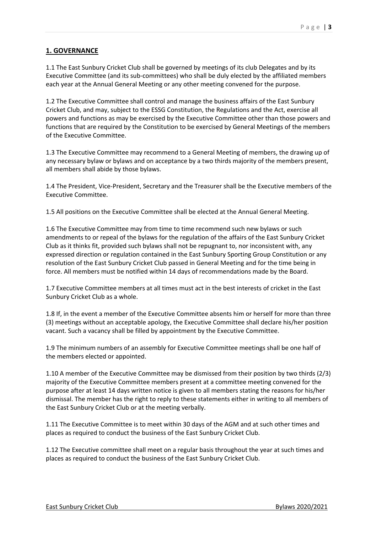# **1. GOVERNANCE**

1.1 The East Sunbury Cricket Club shall be governed by meetings of its club Delegates and by its Executive Committee (and its sub-committees) who shall be duly elected by the affiliated members each year at the Annual General Meeting or any other meeting convened for the purpose.

1.2 The Executive Committee shall control and manage the business affairs of the East Sunbury Cricket Club, and may, subject to the ESSG Constitution, the Regulations and the Act, exercise all powers and functions as may be exercised by the Executive Committee other than those powers and functions that are required by the Constitution to be exercised by General Meetings of the members of the Executive Committee.

1.3 The Executive Committee may recommend to a General Meeting of members, the drawing up of any necessary bylaw or bylaws and on acceptance by a two thirds majority of the members present, all members shall abide by those bylaws.

1.4 The President, Vice-President, Secretary and the Treasurer shall be the Executive members of the Executive Committee.

1.5 All positions on the Executive Committee shall be elected at the Annual General Meeting.

1.6 The Executive Committee may from time to time recommend such new bylaws or such amendments to or repeal of the bylaws for the regulation of the affairs of the East Sunbury Cricket Club as it thinks fit, provided such bylaws shall not be repugnant to, nor inconsistent with, any expressed direction or regulation contained in the East Sunbury Sporting Group Constitution or any resolution of the East Sunbury Cricket Club passed in General Meeting and for the time being in force. All members must be notified within 14 days of recommendations made by the Board.

1.7 Executive Committee members at all times must act in the best interests of cricket in the East Sunbury Cricket Club as a whole.

1.8 If, in the event a member of the Executive Committee absents him or herself for more than three (3) meetings without an acceptable apology, the Executive Committee shall declare his/her position vacant. Such a vacancy shall be filled by appointment by the Executive Committee.

1.9 The minimum numbers of an assembly for Executive Committee meetings shall be one half of the members elected or appointed.

1.10 A member of the Executive Committee may be dismissed from their position by two thirds (2/3) majority of the Executive Committee members present at a committee meeting convened for the purpose after at least 14 days written notice is given to all members stating the reasons for his/her dismissal. The member has the right to reply to these statements either in writing to all members of the East Sunbury Cricket Club or at the meeting verbally.

1.11 The Executive Committee is to meet within 30 days of the AGM and at such other times and places as required to conduct the business of the East Sunbury Cricket Club.

1.12 The Executive committee shall meet on a regular basis throughout the year at such times and places as required to conduct the business of the East Sunbury Cricket Club.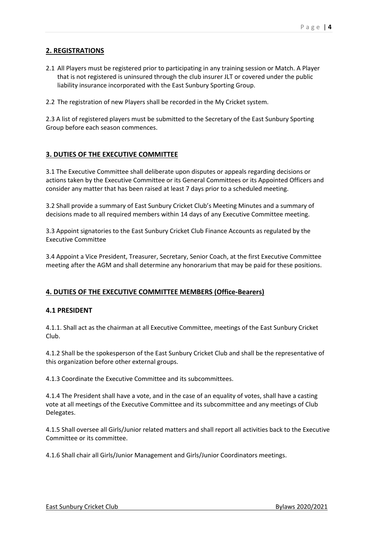# **2. REGISTRATIONS**

2.1 All Players must be registered prior to participating in any training session or Match. A Player that is not registered is uninsured through the club insurer JLT or covered under the public liability insurance incorporated with the East Sunbury Sporting Group.

2.2 The registration of new Players shall be recorded in the My Cricket system.

2.3 A list of registered players must be submitted to the Secretary of the East Sunbury Sporting Group before each season commences.

# **3. DUTIES OF THE EXECUTIVE COMMITTEE**

3.1 The Executive Committee shall deliberate upon disputes or appeals regarding decisions or actions taken by the Executive Committee or its General Committees or its Appointed Officers and consider any matter that has been raised at least 7 days prior to a scheduled meeting.

3.2 Shall provide a summary of East Sunbury Cricket Club's Meeting Minutes and a summary of decisions made to all required members within 14 days of any Executive Committee meeting.

3.3 Appoint signatories to the East Sunbury Cricket Club Finance Accounts as regulated by the Executive Committee

3.4 Appoint a Vice President, Treasurer, Secretary, Senior Coach, at the first Executive Committee meeting after the AGM and shall determine any honorarium that may be paid for these positions.

## **4. DUTIES OF THE EXECUTIVE COMMITTEE MEMBERS (Office-Bearers)**

## **4.1 PRESIDENT**

4.1.1. Shall act as the chairman at all Executive Committee, meetings of the East Sunbury Cricket Club.

4.1.2 Shall be the spokesperson of the East Sunbury Cricket Club and shall be the representative of this organization before other external groups.

4.1.3 Coordinate the Executive Committee and its subcommittees.

4.1.4 The President shall have a vote, and in the case of an equality of votes, shall have a casting vote at all meetings of the Executive Committee and its subcommittee and any meetings of Club Delegates.

4.1.5 Shall oversee all Girls/Junior related matters and shall report all activities back to the Executive Committee or its committee.

4.1.6 Shall chair all Girls/Junior Management and Girls/Junior Coordinators meetings.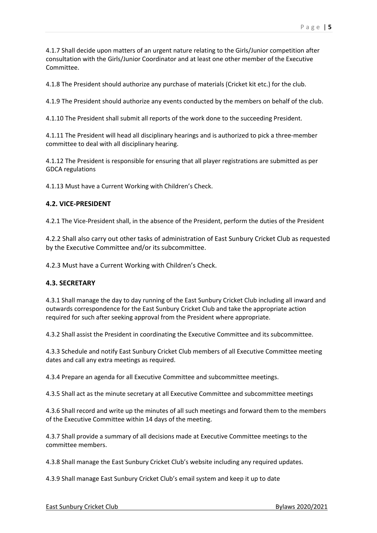4.1.8 The President should authorize any purchase of materials (Cricket kit etc.) for the club.

4.1.9 The President should authorize any events conducted by the members on behalf of the club.

4.1.10 The President shall submit all reports of the work done to the succeeding President.

4.1.11 The President will head all disciplinary hearings and is authorized to pick a three-member committee to deal with all disciplinary hearing.

4.1.12 The President is responsible for ensuring that all player registrations are submitted as per GDCA regulations

4.1.13 Must have a Current Working with Children's Check.

# **4.2. VICE-PRESIDENT**

4.2.1 The Vice-President shall, in the absence of the President, perform the duties of the President

4.2.2 Shall also carry out other tasks of administration of East Sunbury Cricket Club as requested by the Executive Committee and/or its subcommittee.

4.2.3 Must have a Current Working with Children's Check.

## **4.3. SECRETARY**

4.3.1 Shall manage the day to day running of the East Sunbury Cricket Club including all inward and outwards correspondence for the East Sunbury Cricket Club and take the appropriate action required for such after seeking approval from the President where appropriate.

4.3.2 Shall assist the President in coordinating the Executive Committee and its subcommittee.

4.3.3 Schedule and notify East Sunbury Cricket Club members of all Executive Committee meeting dates and call any extra meetings as required.

4.3.4 Prepare an agenda for all Executive Committee and subcommittee meetings.

4.3.5 Shall act as the minute secretary at all Executive Committee and subcommittee meetings

4.3.6 Shall record and write up the minutes of all such meetings and forward them to the members of the Executive Committee within 14 days of the meeting.

4.3.7 Shall provide a summary of all decisions made at Executive Committee meetings to the committee members.

4.3.8 Shall manage the East Sunbury Cricket Club's website including any required updates.

4.3.9 Shall manage East Sunbury Cricket Club's email system and keep it up to date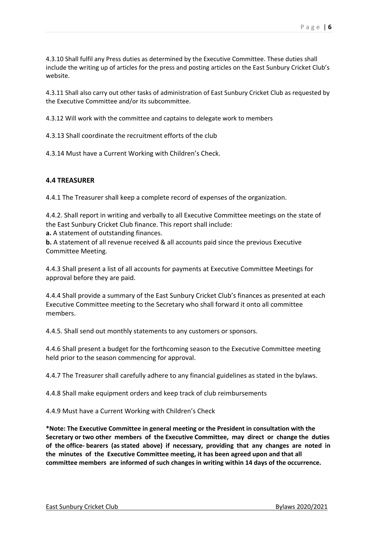4.3.10 Shall fulfil any Press duties as determined by the Executive Committee. These duties shall include the writing up of articles for the press and posting articles on the East Sunbury Cricket Club's website.

4.3.11 Shall also carry out other tasks of administration of East Sunbury Cricket Club as requested by the Executive Committee and/or its subcommittee.

4.3.12 Will work with the committee and captains to delegate work to members

4.3.13 Shall coordinate the recruitment efforts of the club

4.3.14 Must have a Current Working with Children's Check.

#### **4.4 TREASURER**

4.4.1 The Treasurer shall keep a complete record of expenses of the organization.

4.4.2. Shall report in writing and verbally to all Executive Committee meetings on the state of the East Sunbury Cricket Club finance. This report shall include:

**a.** A statement of outstanding finances.

**b.** A statement of all revenue received & all accounts paid since the previous Executive Committee Meeting.

4.4.3 Shall present a list of all accounts for payments at Executive Committee Meetings for approval before they are paid.

4.4.4 Shall provide a summary of the East Sunbury Cricket Club's finances as presented at each Executive Committee meeting to the Secretary who shall forward it onto all committee members.

4.4.5. Shall send out monthly statements to any customers or sponsors.

4.4.6 Shall present a budget for the forthcoming season to the Executive Committee meeting held prior to the season commencing for approval.

4.4.7 The Treasurer shall carefully adhere to any financial guidelines as stated in the bylaws.

4.4.8 Shall make equipment orders and keep track of club reimbursements

4.4.9 Must have a Current Working with Children's Check

**\*Note: The Executive Committee in general meeting or the President in consultation with the Secretary or two other members of the Executive Committee, may direct or change the duties of the office- bearers (as stated above) if necessary, providing that any changes are noted in the minutes of the Executive Committee meeting, it has been agreed upon and that all committee members are informed of such changes in writing within 14 days of the occurrence.**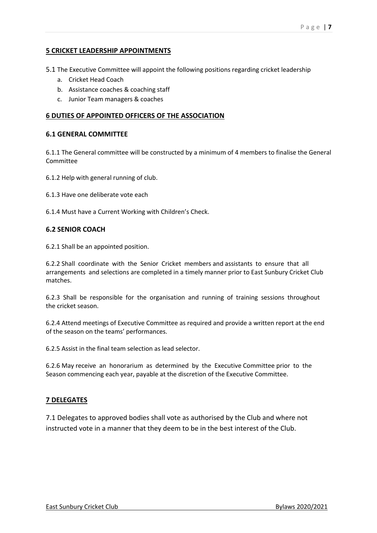# **5 CRICKET LEADERSHIP APPOINTMENTS**

5.1 The Executive Committee will appoint the following positions regarding cricket leadership

- a. Cricket Head Coach
- b. Assistance coaches & coaching staff
- c. Junior Team managers & coaches

#### **6 DUTIES OF APPOINTED OFFICERS OF THE ASSOCIATION**

#### **6.1 GENERAL COMMITTEE**

6.1.1 The General committee will be constructed by a minimum of 4 members to finalise the General Committee

6.1.2 Help with general running of club.

- 6.1.3 Have one deliberate vote each
- 6.1.4 Must have a Current Working with Children's Check.

#### **6.2 SENIOR COACH**

6.2.1 Shall be an appointed position.

6.2.2 Shall coordinate with the Senior Cricket members and assistants to ensure that all arrangements and selections are completed in a timely manner prior to East Sunbury Cricket Club matches.

6.2.3 Shall be responsible for the organisation and running of training sessions throughout the cricket season.

6.2.4 Attend meetings of Executive Committee as required and provide a written report at the end of the season on the teams' performances.

6.2.5 Assist in the final team selection as lead selector.

6.2.6 May receive an honorarium as determined by the Executive Committee prior to the Season commencing each year, payable at the discretion of the Executive Committee.

## **7 DELEGATES**

7.1 Delegates to approved bodies shall vote as authorised by the Club and where not instructed vote in a manner that they deem to be in the best interest of the Club.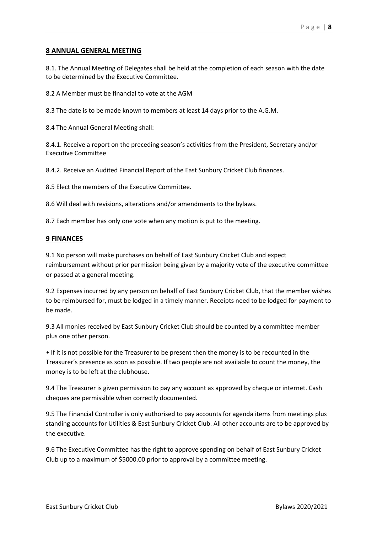#### **8 ANNUAL GENERAL MEETING**

8.1. The Annual Meeting of Delegates shall be held at the completion of each season with the date to be determined by the Executive Committee.

8.2 A Member must be financial to vote at the AGM

8.3 The date is to be made known to members at least 14 days prior to the A.G.M.

8.4 The Annual General Meeting shall:

8.4.1. Receive a report on the preceding season's activities from the President, Secretary and/or Executive Committee

8.4.2. Receive an Audited Financial Report of the East Sunbury Cricket Club finances.

8.5 Elect the members of the Executive Committee.

8.6 Will deal with revisions, alterations and/or amendments to the bylaws.

8.7 Each member has only one vote when any motion is put to the meeting.

#### **9 FINANCES**

9.1 No person will make purchases on behalf of East Sunbury Cricket Club and expect reimbursement without prior permission being given by a majority vote of the executive committee or passed at a general meeting.

9.2 Expenses incurred by any person on behalf of East Sunbury Cricket Club, that the member wishes to be reimbursed for, must be lodged in a timely manner. Receipts need to be lodged for payment to be made.

9.3 All monies received by East Sunbury Cricket Club should be counted by a committee member plus one other person.

• If it is not possible for the Treasurer to be present then the money is to be recounted in the Treasurer's presence as soon as possible. If two people are not available to count the money, the money is to be left at the clubhouse.

9.4 The Treasurer is given permission to pay any account as approved by cheque or internet. Cash cheques are permissible when correctly documented.

9.5 The Financial Controller is only authorised to pay accounts for agenda items from meetings plus standing accounts for Utilities & East Sunbury Cricket Club. All other accounts are to be approved by the executive.

9.6 The Executive Committee has the right to approve spending on behalf of East Sunbury Cricket Club up to a maximum of \$5000.00 prior to approval by a committee meeting.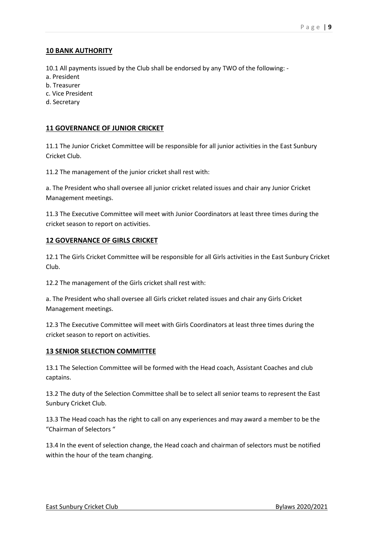# **10 BANK AUTHORITY**

10.1 All payments issued by the Club shall be endorsed by any TWO of the following: -

- a. President
- b. Treasurer
- c. Vice President
- d. Secretary

# **11 GOVERNANCE OF JUNIOR CRICKET**

11.1 The Junior Cricket Committee will be responsible for all junior activities in the East Sunbury Cricket Club.

11.2 The management of the junior cricket shall rest with:

a. The President who shall oversee all junior cricket related issues and chair any Junior Cricket Management meetings.

11.3 The Executive Committee will meet with Junior Coordinators at least three times during the cricket season to report on activities.

## **12 GOVERNANCE OF GIRLS CRICKET**

12.1 The Girls Cricket Committee will be responsible for all Girls activities in the East Sunbury Cricket Club.

12.2 The management of the Girls cricket shall rest with:

a. The President who shall oversee all Girls cricket related issues and chair any Girls Cricket Management meetings.

12.3 The Executive Committee will meet with Girls Coordinators at least three times during the cricket season to report on activities.

## **13 SENIOR SELECTION COMMITTEE**

13.1 The Selection Committee will be formed with the Head coach, Assistant Coaches and club captains.

13.2 The duty of the Selection Committee shall be to select all senior teams to represent the East Sunbury Cricket Club.

13.3 The Head coach has the right to call on any experiences and may award a member to be the "Chairman of Selectors "

13.4 In the event of selection change, the Head coach and chairman of selectors must be notified within the hour of the team changing.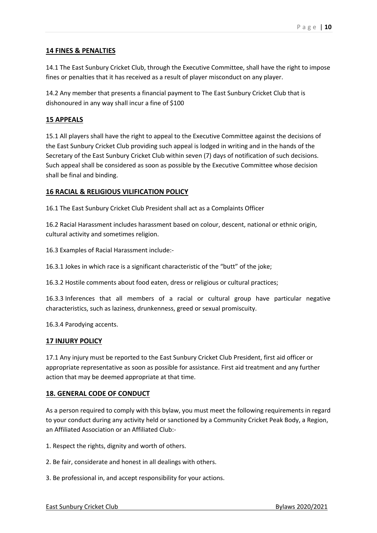## **14 FINES & PENALTIES**

14.1 The East Sunbury Cricket Club, through the Executive Committee, shall have the right to impose fines or penalties that it has received as a result of player misconduct on any player.

14.2 Any member that presents a financial payment to The East Sunbury Cricket Club that is dishonoured in any way shall incur a fine of \$100

#### **15 APPEALS**

15.1 All players shall have the right to appeal to the Executive Committee against the decisions of the East Sunbury Cricket Club providing such appeal is lodged in writing and in the hands of the Secretary of the East Sunbury Cricket Club within seven (7) days of notification of such decisions. Such appeal shall be considered as soon as possible by the Executive Committee whose decision shall be final and binding.

#### **16 RACIAL & RELIGIOUS VILIFICATION POLICY**

16.1 The East Sunbury Cricket Club President shall act as a Complaints Officer

16.2 Racial Harassment includes harassment based on colour, descent, national or ethnic origin, cultural activity and sometimes religion.

16.3 Examples of Racial Harassment include:-

16.3.1 Jokes in which race is a significant characteristic of the "butt" of the joke;

16.3.2 Hostile comments about food eaten, dress or religious or cultural practices;

16.3.3 Inferences that all members of a racial or cultural group have particular negative characteristics, such as laziness, drunkenness, greed or sexual promiscuity.

16.3.4 Parodying accents.

#### **17 INJURY POLICY**

17.1 Any injury must be reported to the East Sunbury Cricket Club President, first aid officer or appropriate representative as soon as possible for assistance. First aid treatment and any further action that may be deemed appropriate at that time.

#### **18. GENERAL CODE OF CONDUCT**

As a person required to comply with this bylaw, you must meet the following requirements in regard to your conduct during any activity held or sanctioned by a Community Cricket Peak Body, a Region, an Affiliated Association or an Affiliated Club:-

1. Respect the rights, dignity and worth of others.

2. Be fair, considerate and honest in all dealings with others.

3. Be professional in, and accept responsibility for your actions.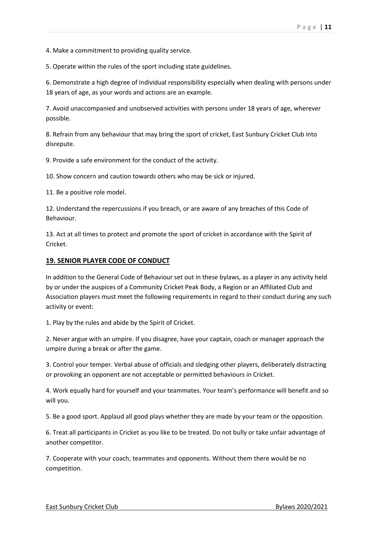4. Make a commitment to providing quality service.

5. Operate within the rules of the sport including state guidelines.

6. Demonstrate a high degree of individual responsibility especially when dealing with persons under 18 years of age, as your words and actions are an example.

7. Avoid unaccompanied and unobserved activities with persons under 18 years of age, wherever possible.

8. Refrain from any behaviour that may bring the sport of cricket, East Sunbury Cricket Club into disrepute.

9. Provide a safe environment for the conduct of the activity.

10. Show concern and caution towards others who may be sick or injured.

11. Be a positive role model.

12. Understand the repercussions if you breach, or are aware of any breaches of this Code of Behaviour.

13. Act at all times to protect and promote the sport of cricket in accordance with the Spirit of Cricket.

#### **19. SENIOR PLAYER CODE OF CONDUCT**

In addition to the General Code of Behaviour set out in these bylaws, as a player in any activity held by or under the auspices of a Community Cricket Peak Body, a Region or an Affiliated Club and Association players must meet the following requirements in regard to their conduct during any such activity or event:

1. Play by the rules and abide by the Spirit of Cricket.

2. Never argue with an umpire. If you disagree, have your captain, coach or manager approach the umpire during a break or after the game.

3. Control your temper. Verbal abuse of officials and sledging other players, deliberately distracting or provoking an opponent are not acceptable or permitted behaviours in Cricket.

4. Work equally hard for yourself and your teammates. Your team's performance will benefit and so will you.

5. Be a good sport. Applaud all good plays whether they are made by your team or the opposition.

6. Treat all participants in Cricket as you like to be treated. Do not bully or take unfair advantage of another competitor.

7. Cooperate with your coach, teammates and opponents. Without them there would be no competition.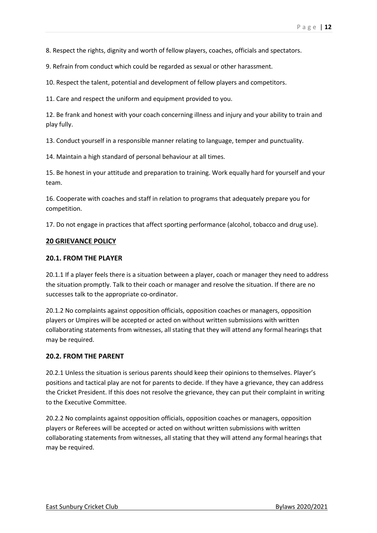8. Respect the rights, dignity and worth of fellow players, coaches, officials and spectators.

9. Refrain from conduct which could be regarded as sexual or other harassment.

10. Respect the talent, potential and development of fellow players and competitors.

11. Care and respect the uniform and equipment provided to you.

12. Be frank and honest with your coach concerning illness and injury and your ability to train and play fully.

13. Conduct yourself in a responsible manner relating to language, temper and punctuality.

14. Maintain a high standard of personal behaviour at all times.

15. Be honest in your attitude and preparation to training. Work equally hard for yourself and your team.

16. Cooperate with coaches and staff in relation to programs that adequately prepare you for competition.

17. Do not engage in practices that affect sporting performance (alcohol, tobacco and drug use).

#### **20 GRIEVANCE POLICY**

#### **20.1. FROM THE PLAYER**

20.1.1 If a player feels there is a situation between a player, coach or manager they need to address the situation promptly. Talk to their coach or manager and resolve the situation. If there are no successes talk to the appropriate co-ordinator.

20.1.2 No complaints against opposition officials, opposition coaches or managers, opposition players or Umpires will be accepted or acted on without written submissions with written collaborating statements from witnesses, all stating that they will attend any formal hearings that may be required.

#### **20.2. FROM THE PARENT**

20.2.1 Unless the situation is serious parents should keep their opinions to themselves. Player's positions and tactical play are not for parents to decide. If they have a grievance, they can address the Cricket President. If this does not resolve the grievance, they can put their complaint in writing to the Executive Committee.

20.2.2 No complaints against opposition officials, opposition coaches or managers, opposition players or Referees will be accepted or acted on without written submissions with written collaborating statements from witnesses, all stating that they will attend any formal hearings that may be required.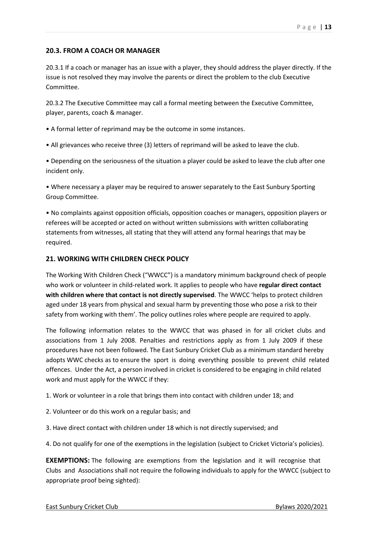## **20.3. FROM A COACH OR MANAGER**

20.3.1 If a coach or manager has an issue with a player, they should address the player directly. If the issue is not resolved they may involve the parents or direct the problem to the club Executive Committee.

20.3.2 The Executive Committee may call a formal meeting between the Executive Committee, player, parents, coach & manager.

- A formal letter of reprimand may be the outcome in some instances.
- All grievances who receive three (3) letters of reprimand will be asked to leave the club.

• Depending on the seriousness of the situation a player could be asked to leave the club after one incident only.

• Where necessary a player may be required to answer separately to the East Sunbury Sporting Group Committee.

• No complaints against opposition officials, opposition coaches or managers, opposition players or referees will be accepted or acted on without written submissions with written collaborating statements from witnesses, all stating that they will attend any formal hearings that may be required.

## **21. WORKING WITH CHILDREN CHECK POLICY**

The Working With Children Check ("WWCC") is a mandatory minimum background check of people who work or volunteer in child-related work. It applies to people who have **regular direct contact with children where that contact is not directly supervised**. The WWCC 'helps to protect children aged under 18 years from physical and sexual harm by preventing those who pose a risk to their safety from working with them'. The policy outlines roles where people are required to apply.

The following information relates to the WWCC that was phased in for all cricket clubs and associations from 1 July 2008. Penalties and restrictions apply as from 1 July 2009 if these procedures have not been followed. The East Sunbury Cricket Club as a minimum standard hereby adopts WWC checks as to ensure the sport is doing everything possible to prevent child related offences. Under the Act, a person involved in cricket is considered to be engaging in child related work and must apply for the WWCC if they:

1. Work or volunteer in a role that brings them into contact with children under 18; and

- 2. Volunteer or do this work on a regular basis; and
- 3. Have direct contact with children under 18 which is not directly supervised; and

4. Do not qualify for one of the exemptions in the legislation (subject to Cricket Victoria's policies).

**EXEMPTIONS:** The following are exemptions from the legislation and it will recognise that Clubs and Associations shall not require the following individuals to apply for the WWCC (subject to appropriate proof being sighted):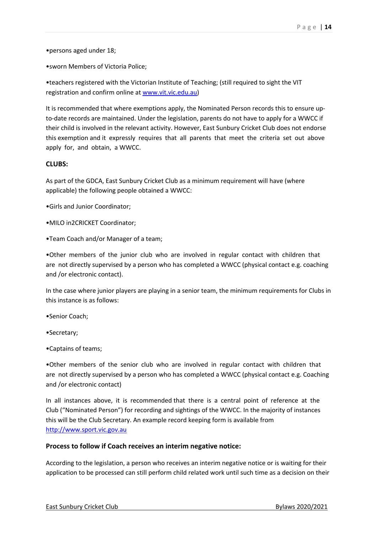•persons aged under 18;

•sworn Members of Victoria Police;

•teachers registered with the Victorian Institute of Teaching; (still required to sight the VIT registration and confirm online at www.vit.vic.edu.au)

It is recommended that where exemptions apply, the Nominated Person records this to ensure upto-date records are maintained. Under the legislation, parents do not have to apply for a WWCC if their child is involved in the relevant activity. However, East Sunbury Cricket Club does not endorse this exemption and it expressly requires that all parents that meet the criteria set out above apply for, and obtain, a WWCC.

#### **CLUBS:**

As part of the GDCA, East Sunbury Cricket Club as a minimum requirement will have (where applicable) the following people obtained a WWCC:

•Girls and Junior Coordinator;

•MILO in2CRICKET Coordinator;

•Team Coach and/or Manager of a team;

•Other members of the junior club who are involved in regular contact with children that are not directly supervised by a person who has completed a WWCC (physical contact e.g. coaching and /or electronic contact).

In the case where junior players are playing in a senior team, the minimum requirements for Clubs in this instance is as follows:

•Senior Coach;

•Secretary;

•Captains of teams;

•Other members of the senior club who are involved in regular contact with children that are not directly supervised by a person who has completed a WWCC (physical contact e.g. Coaching and /or electronic contact)

In all instances above, it is recommended that there is a central point of reference at the Club ("Nominated Person") for recording and sightings of the WWCC. In the majority of instances this will be the Club Secretary. An example record keeping form is available from http://www.sport.vic.gov.au

#### **Process to follow if Coach receives an interim negative notice:**

According to the legislation, a person who receives an interim negative notice or is waiting for their application to be processed can still perform child related work until such time as a decision on their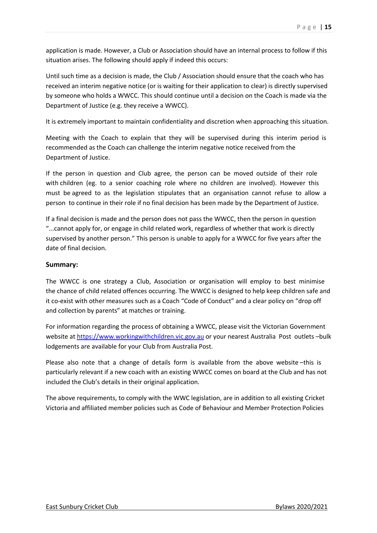application is made. However, a Club or Association should have an internal process to follow if this situation arises. The following should apply if indeed this occurs:

Until such time as a decision is made, the Club / Association should ensure that the coach who has received an interim negative notice (or is waiting for their application to clear) is directly supervised by someone who holds a WWCC. This should continue until a decision on the Coach is made via the Department of Justice (e.g. they receive a WWCC).

It is extremely important to maintain confidentiality and discretion when approaching this situation.

Meeting with the Coach to explain that they will be supervised during this interim period is recommended as the Coach can challenge the interim negative notice received from the Department of Justice.

If the person in question and Club agree, the person can be moved outside of their role with children (eg. to a senior coaching role where no children are involved). However this must be agreed to as the legislation stipulates that an organisation cannot refuse to allow a person to continue in their role if no final decision has been made by the Department of Justice.

If a final decision is made and the person does not pass the WWCC, then the person in question "...cannot apply for, or engage in child related work, regardless of whether that work is directly supervised by another person." This person is unable to apply for a WWCC for five years after the date of final decision.

#### **Summary:**

The WWCC is one strategy a Club, Association or organisation will employ to best minimise the chance of child related offences occurring. The WWCC is designed to help keep children safe and it co-exist with other measures such as a Coach "Code of Conduct" and a clear policy on "drop off and collection by parents" at matches or training.

For information regarding the process of obtaining a WWCC, please visit the Victorian Government website at https://www.workingwithchildren.vic.gov.au or your nearest Australia Post outlets -bulk lodgements are available for your Club from Australia Post.

Please also note that a change of details form is available from the above website –this is particularly relevant if a new coach with an existing WWCC comes on board at the Club and has not included the Club's details in their original application.

The above requirements, to comply with the WWC legislation, are in addition to all existing Cricket Victoria and affiliated member policies such as Code of Behaviour and Member Protection Policies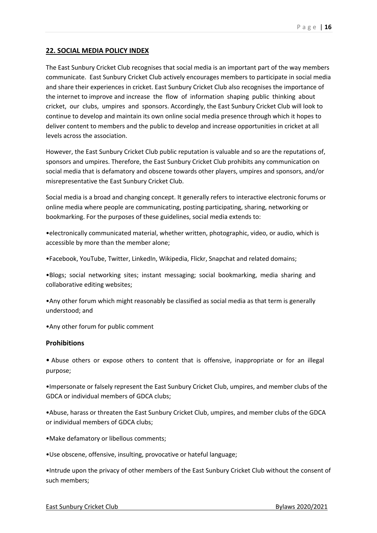## **22. SOCIAL MEDIA POLICY INDEX**

The East Sunbury Cricket Club recognises that social media is an important part of the way members communicate. East Sunbury Cricket Club actively encourages members to participate in social media and share their experiences in cricket. East Sunbury Cricket Club also recognises the importance of the internet to improve and increase the flow of information shaping public thinking about cricket, our clubs, umpires and sponsors. Accordingly, the East Sunbury Cricket Club will look to continue to develop and maintain its own online social media presence through which it hopes to deliver content to members and the public to develop and increase opportunities in cricket at all levels across the association.

However, the East Sunbury Cricket Club public reputation is valuable and so are the reputations of, sponsors and umpires. Therefore, the East Sunbury Cricket Club prohibits any communication on social media that is defamatory and obscene towards other players, umpires and sponsors, and/or misrepresentative the East Sunbury Cricket Club.

Social media is a broad and changing concept. It generally refers to interactive electronic forums or online media where people are communicating, posting participating, sharing, networking or bookmarking. For the purposes of these guidelines, social media extends to:

•electronically communicated material, whether written, photographic, video, or audio, which is accessible by more than the member alone;

•Facebook, YouTube, Twitter, LinkedIn, Wikipedia, Flickr, Snapchat and related domains;

•Blogs; social networking sites; instant messaging; social bookmarking, media sharing and collaborative editing websites;

•Any other forum which might reasonably be classified as social media as that term is generally understood; and

•Any other forum for public comment

#### **Prohibitions**

• Abuse others or expose others to content that is offensive, inappropriate or for an illegal purpose;

•Impersonate or falsely represent the East Sunbury Cricket Club, umpires, and member clubs of the GDCA or individual members of GDCA clubs;

•Abuse, harass or threaten the East Sunbury Cricket Club, umpires, and member clubs of the GDCA or individual members of GDCA clubs;

•Make defamatory or libellous comments;

•Use obscene, offensive, insulting, provocative or hateful language;

•Intrude upon the privacy of other members of the East Sunbury Cricket Club without the consent of such members;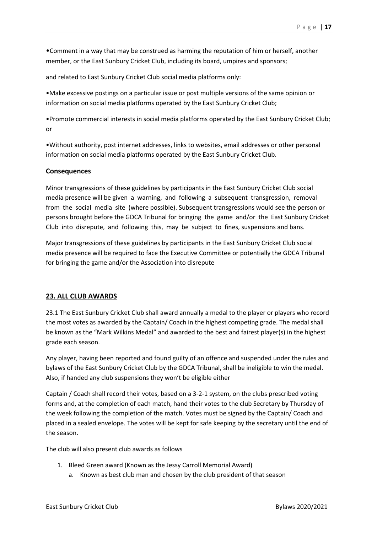•Comment in a way that may be construed as harming the reputation of him or herself, another member, or the East Sunbury Cricket Club, including its board, umpires and sponsors;

and related to East Sunbury Cricket Club social media platforms only:

•Make excessive postings on a particular issue or post multiple versions of the same opinion or information on social media platforms operated by the East Sunbury Cricket Club;

•Promote commercial interests in social media platforms operated by the East Sunbury Cricket Club; or

•Without authority, post internet addresses, links to websites, email addresses or other personal information on social media platforms operated by the East Sunbury Cricket Club.

#### **Consequences**

Minor transgressions of these guidelines by participants in the East Sunbury Cricket Club social media presence will be given a warning, and following a subsequent transgression, removal from the social media site (where possible). Subsequent transgressions would see the person or persons brought before the GDCA Tribunal for bringing the game and/or the East Sunbury Cricket Club into disrepute, and following this, may be subject to fines, suspensions and bans.

Major transgressions of these guidelines by participants in the East Sunbury Cricket Club social media presence will be required to face the Executive Committee or potentially the GDCA Tribunal for bringing the game and/or the Association into disrepute

## **23. ALL CLUB AWARDS**

23.1 The East Sunbury Cricket Club shall award annually a medal to the player or players who record the most votes as awarded by the Captain/ Coach in the highest competing grade. The medal shall be known as the "Mark Wilkins Medal" and awarded to the best and fairest player(s) in the highest grade each season.

Any player, having been reported and found guilty of an offence and suspended under the rules and bylaws of the East Sunbury Cricket Club by the GDCA Tribunal, shall be ineligible to win the medal. Also, if handed any club suspensions they won't be eligible either

Captain / Coach shall record their votes, based on a 3-2-1 system, on the clubs prescribed voting forms and, at the completion of each match, hand their votes to the club Secretary by Thursday of the week following the completion of the match. Votes must be signed by the Captain/ Coach and placed in a sealed envelope. The votes will be kept for safe keeping by the secretary until the end of the season.

The club will also present club awards as follows

- 1. Bleed Green award (Known as the Jessy Carroll Memorial Award)
	- a. Known as best club man and chosen by the club president of that season